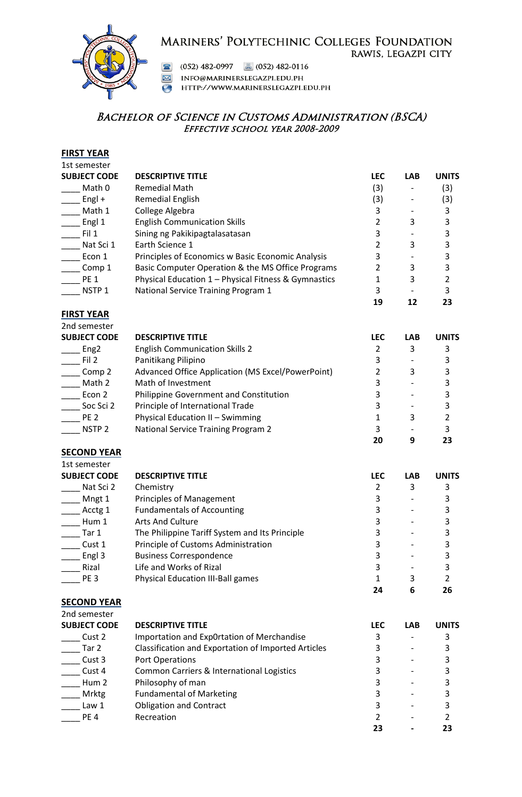# MARINERS' POLYTECHINIC COLLEGES FOUNDATION RAWIS, LEGAZPI CITY



(052) 482-0997 **a** (052) 482-0116

INFO@MARINERSLEGAZPI.EDU.PH  $\boxed{\mathbf{\boxtimes}}$ 

HTTP://WWW.MARINERSLEGAZPI.EDU.PH

# BACHELOR OF SCIENCE IN CUSTOMS ADMINISTRATION (BSCA) Effective school year 2008-2009

#### **FIRST YEAR** 1st semester

| TIL SEIIIESTEI      |                                                      |            |            |              |
|---------------------|------------------------------------------------------|------------|------------|--------------|
| <b>SUBJECT CODE</b> | <b>DESCRIPTIVE TITLE</b>                             | <b>LEC</b> | <b>LAB</b> | <b>UNITS</b> |
| Math 0              | <b>Remedial Math</b>                                 | (3)        |            | (3)          |
| Engl +              | Remedial English                                     | (3)        |            | (3)          |
| Math 1              | College Algebra                                      | 3          |            | 3            |
| Engl 1              | <b>English Communication Skills</b>                  | 2          | 3          | 3            |
| Fil 1               | Sining ng Pakikipagtalasatasan                       | 3          |            | 3            |
| Nat Sci 1           | Earth Science 1                                      | 2          | 3          | 3            |
| Econ 1              | Principles of Economics w Basic Economic Analysis    | 3          |            | 3            |
| Comp 1              | Basic Computer Operation & the MS Office Programs    | 2          | 3          | 3            |
| <b>PE 1</b>         | Physical Education 1 - Physical Fitness & Gymnastics |            | 3          | 2            |
| NSTP <sub>1</sub>   | National Service Training Program 1                  | 3          |            | 3            |
|                     |                                                      | 19         | 12         | 23           |
| <b>FIRST YEAR</b>   |                                                      |            |            |              |
| 2nd semester        |                                                      |            |            |              |
| <b>SUBJECT CODE</b> | <b>DESCRIPTIVE TITLE</b>                             | <b>LEC</b> | <b>LAB</b> | <b>UNITS</b> |
| Eng <sub>2</sub>    | <b>English Communication Skills 2</b>                | 2          | 3          | 3            |
| Fil 2               | Panitikang Pilipino                                  | 3          |            | 3            |
| Comp 2              | Advanced Office Application (MS Excel/PowerPoint)    |            | 3          | 3            |
| Math 2              | Math of Investment                                   | 3          |            | 3            |
| Econ 2              | Philippine Government and Constitution               | 3          |            | 3            |
| Soc Sci 2           | Principle of International Trade                     | 3          |            | 3            |

Let 1 2 Physical Education II – Swimming 1 3 2 All National Service Training Program 2 5 and 3 and 3 and 3 and 3 and 3 and 3 and 3 and 3 and 3 and 3 and 3 and 3 and 3 and 3 and 3 and 3 and 3 and 3 and 3 and 3 and 3 and 3 and 3 and 3 and 3 and 3 and 3 and 3 and 3 and 3

**20 9 23**

### **SECOND YEAR**

1st semester

| SUBJECT CODE    | <b>DESCRIPTIVE TITLE</b>                       | <b>LEC</b> | <b>LAB</b> | <b>UNITS</b> |
|-----------------|------------------------------------------------|------------|------------|--------------|
| Nat Sci 2       | Chemistry                                      |            | 3          |              |
| Mngt 1          | <b>Principles of Management</b>                |            |            |              |
| Acctg 1         | <b>Fundamentals of Accounting</b>              |            |            |              |
| Hum 1           | Arts And Culture                               |            |            |              |
| Tar 1           | The Philippine Tariff System and Its Principle |            |            |              |
| Cust 1          | Principle of Customs Administration            |            |            |              |
| Engl 3          | <b>Business Correspondence</b>                 |            |            |              |
| Rizal           | Life and Works of Rizal                        |            |            |              |
| PE <sub>3</sub> | <b>Physical Education III-Ball games</b>       |            | 3          | 2            |
|                 |                                                |            | 6          | 26           |

#### **SECOND YEAR**

| 2nd semester        |                                                     |            |            |              |
|---------------------|-----------------------------------------------------|------------|------------|--------------|
| <b>SUBJECT CODE</b> | <b>DESCRIPTIVE TITLE</b>                            | <b>LEC</b> | <b>LAB</b> | <b>UNITS</b> |
| Cust 2              | Importation and Exp0rtation of Merchandise          |            |            |              |
| Tar 2               | Classification and Exportation of Imported Articles |            |            |              |
| Cust 3              | <b>Port Operations</b>                              |            |            |              |
| Cust 4              | Common Carriers & International Logistics           |            |            |              |
| Hum 2               | Philosophy of man                                   |            |            |              |
| <b>Mrktg</b>        | <b>Fundamental of Marketing</b>                     |            |            |              |
| Law 1               | <b>Obligation and Contract</b>                      |            |            |              |
| PE <sub>4</sub>     | Recreation                                          |            |            |              |
|                     |                                                     |            |            |              |